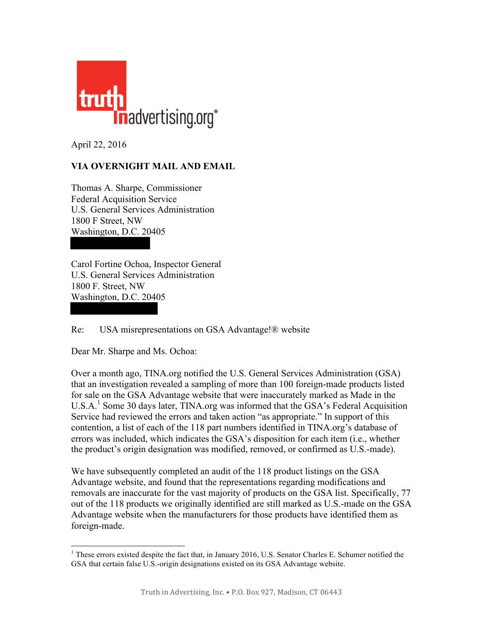

April 22, 2016

## **VIA OVERNIGHT MAIL AND EMAIL**

Thomas A. Sharpe, Commissioner Federal Acquisition Service U.S. General Services Administration 1800 F Street, NW Washington, D.C. 20405

Carol Fortine Ochoa, Inspector General U.S. General Services Administration 1800 F. Street, NW Washington, D.C. 20405

Re: USA misrepresentations on GSA Advantage!® website

Dear Mr. Sharpe and Ms. Ochoa:

Over a month ago, TINA.org notified the U.S. General Services Administration (GSA) that an investigation revealed a sampling of more than 100 foreign-made products listed for sale on the GSA Advantage website that were inaccurately marked as Made in the  $U.S.A.<sup>1</sup>$  Some 30 days later, TINA.org was informed that the GSA's Federal Acquisition Service had reviewed the errors and taken action "as appropriate." In support of this contention, a list of each of the 118 part numbers identified in TINA.org's database of errors was included, which indicates the GSA's disposition for each item (i.e., whether the product's origin designation was modified, removed, or confirmed as U.S.-made).

We have subsequently completed an audit of the 118 product listings on the GSA Advantage website, and found that the representations regarding modifications and removals are inaccurate for the vast majority of products on the GSA list. Specifically, 77 out of the 118 products we originally identified are still marked as U.S.-made on the GSA Advantage website when the manufacturers for those products have identified them as foreign-made.

<sup>&</sup>lt;sup>1</sup> These errors existed despite the fact that, in January 2016, U.S. Senator Charles E. Schumer notified the GSA that certain false U.S.-origin designations existed on its GSA Advantage website.